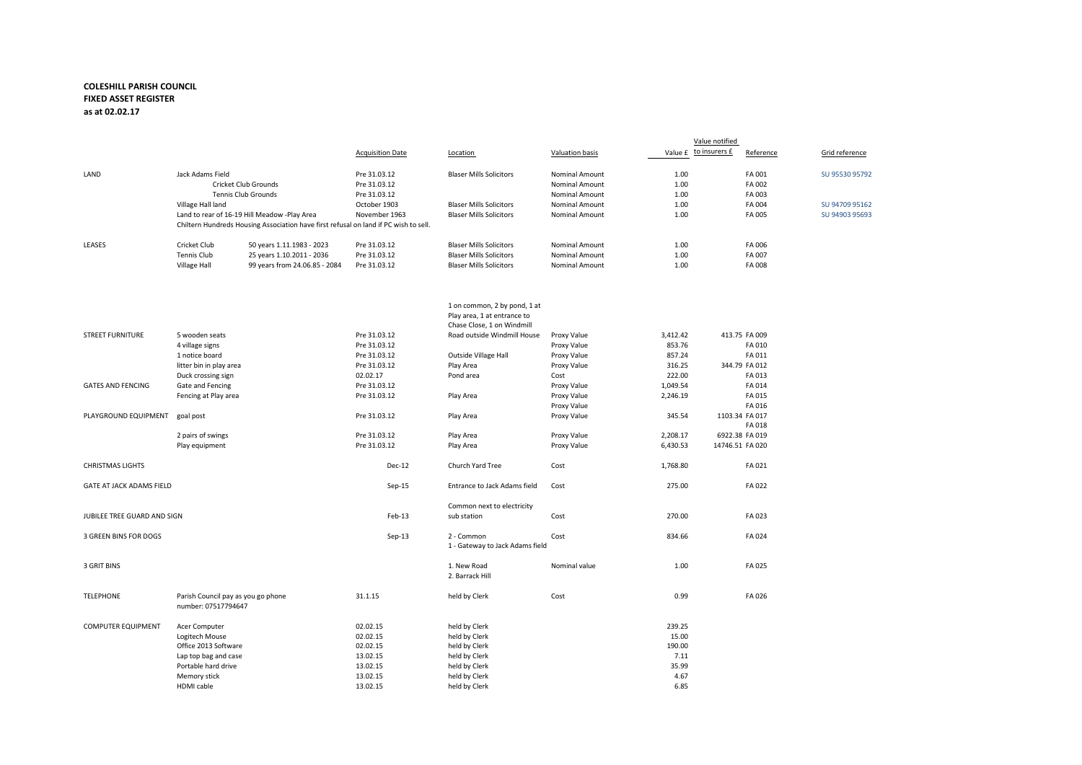## **COLESHILL PARISH COUNCIL FIXED ASSET REGISTER as at 02.02.17**

|                             |                                                           |                                                                                      | <b>Acquisition Date</b>      | Location                                                                                  | Valuation basis       | Value £ to insurers £ | Reference       | Grid reference |
|-----------------------------|-----------------------------------------------------------|--------------------------------------------------------------------------------------|------------------------------|-------------------------------------------------------------------------------------------|-----------------------|-----------------------|-----------------|----------------|
| LAND                        | Jack Adams Field                                          |                                                                                      | Pre 31.03.12                 | <b>Blaser Mills Solicitors</b>                                                            | Nominal Amount        | 1.00                  | FA 001          | SU 95530 95792 |
|                             |                                                           | <b>Cricket Club Grounds</b>                                                          | Pre 31.03.12                 |                                                                                           | <b>Nominal Amount</b> | 1.00                  | FA 002          |                |
|                             |                                                           | Tennis Club Grounds                                                                  | Pre 31.03.12                 |                                                                                           | Nominal Amount        | 1.00                  | FA 003          |                |
|                             | Village Hall land                                         |                                                                                      | October 1903                 | <b>Blaser Mills Solicitors</b>                                                            | Nominal Amount        | 1.00                  | FA 004          | SU 94709 95162 |
|                             |                                                           | Land to rear of 16-19 Hill Meadow -Play Area                                         | November 1963                | <b>Blaser Mills Solicitors</b>                                                            | Nominal Amount        | 1.00                  | FA 005          | SU 94903 95693 |
|                             |                                                           | Chiltern Hundreds Housing Association have first refusal on land if PC wish to sell. |                              |                                                                                           |                       |                       |                 |                |
| LEASES                      | Cricket Club                                              | 50 years 1.11.1983 - 2023                                                            | Pre 31.03.12                 | <b>Blaser Mills Solicitors</b>                                                            | <b>Nominal Amount</b> | 1.00                  | FA 006          |                |
|                             | Tennis Club                                               | 25 years 1.10.2011 - 2036                                                            | Pre 31.03.12                 | <b>Blaser Mills Solicitors</b>                                                            | Nominal Amount        | 1.00                  | FA 007          |                |
|                             | <b>Village Hall</b>                                       | 99 years from 24.06.85 - 2084                                                        | Pre 31.03.12                 | <b>Blaser Mills Solicitors</b>                                                            | Nominal Amount        | 1.00                  | FA 008          |                |
|                             |                                                           |                                                                                      |                              |                                                                                           |                       |                       |                 |                |
|                             |                                                           |                                                                                      |                              | 1 on common, 2 by pond, 1 at<br>Play area, 1 at entrance to<br>Chase Close, 1 on Windmill |                       |                       |                 |                |
| <b>STREET FURNITURE</b>     | 5 wooden seats                                            |                                                                                      | Pre 31.03.12                 | Road outside Windmill House                                                               | Proxy Value           | 3,412.42              | 413.75 FA 009   |                |
|                             | 4 village signs                                           |                                                                                      | Pre 31.03.12                 |                                                                                           | Proxy Value           | 853.76                | FA 010          |                |
|                             | 1 notice board                                            |                                                                                      | Pre 31.03.12                 | Outside Village Hall                                                                      | Proxy Value           | 857.24                | FA 011          |                |
|                             | litter bin in play area                                   |                                                                                      | Pre 31.03.12                 | Play Area                                                                                 | Proxy Value           | 316.25                | 344.79 FA 012   |                |
|                             | Duck crossing sign                                        |                                                                                      | 02.02.17                     | Pond area                                                                                 | Cost                  | 222.00                | FA 013          |                |
| <b>GATES AND FENCING</b>    | Gate and Fencing                                          |                                                                                      | Pre 31.03.12                 |                                                                                           | Proxy Value           | 1,049.54              | FA 014          |                |
|                             | Fencing at Play area                                      |                                                                                      | Pre 31.03.12                 | Play Area                                                                                 | Proxy Value           | 2,246.19              | FA 015          |                |
|                             |                                                           |                                                                                      |                              |                                                                                           | Proxy Value           |                       | FA 016          |                |
| PLAYGROUND EQUIPMENT        | goal post                                                 |                                                                                      | Pre 31.03.12                 | Play Area                                                                                 | Proxy Value           | 345.54                | 1103.34 FA 017  |                |
|                             |                                                           |                                                                                      |                              |                                                                                           |                       |                       | FA 018          |                |
|                             | 2 pairs of swings                                         |                                                                                      | Pre 31.03.12                 | Play Area                                                                                 | Proxy Value           | 2,208.17              | 6922.38 FA 019  |                |
|                             | Play equipment                                            |                                                                                      | Pre 31.03.12                 | Play Area                                                                                 | Proxy Value           | 6,430.53              | 14746.51 FA 020 |                |
| <b>CHRISTMAS LIGHTS</b>     |                                                           |                                                                                      | Dec-12                       | Church Yard Tree                                                                          | Cost                  | 1,768.80              | FA 021          |                |
| GATE AT JACK ADAMS FIELD    |                                                           | $Sep-15$                                                                             | Entrance to Jack Adams field | Cost                                                                                      | 275.00                | FA 022                |                 |                |
|                             |                                                           |                                                                                      |                              | Common next to electricity                                                                |                       |                       |                 |                |
| JUBILEE TREE GUARD AND SIGN |                                                           | Feb-13                                                                               | sub station                  | Cost                                                                                      | 270.00                | FA 023                |                 |                |
| 3 GREEN BINS FOR DOGS       |                                                           |                                                                                      | Sep-13                       | 2 - Common<br>1 - Gateway to Jack Adams field                                             | Cost                  | 834.66                | FA 024          |                |
| 3 GRIT BINS                 |                                                           |                                                                                      |                              | 1. New Road<br>2. Barrack Hill                                                            | Nominal value         | 1.00                  | FA 025          |                |
| TELEPHONE                   | Parish Council pay as you go phone<br>number: 07517794647 |                                                                                      | 31.1.15                      | held by Clerk                                                                             | Cost                  | 0.99                  | FA 026          |                |
| <b>COMPUTER EQUIPMENT</b>   | Acer Computer                                             |                                                                                      | 02.02.15                     | held by Clerk                                                                             |                       | 239.25                |                 |                |
|                             | Logitech Mouse                                            |                                                                                      | 02.02.15                     | held by Clerk                                                                             |                       | 15.00                 |                 |                |
|                             | Office 2013 Software                                      |                                                                                      | 02.02.15                     | held by Clerk                                                                             |                       | 190.00                |                 |                |
|                             | Lap top bag and case                                      |                                                                                      | 13.02.15                     | held by Clerk                                                                             |                       | 7.11                  |                 |                |
|                             | Portable hard drive                                       |                                                                                      | 13.02.15                     | held by Clerk                                                                             |                       | 35.99                 |                 |                |
|                             | Memory stick                                              |                                                                                      | 13.02.15                     | held by Clerk                                                                             |                       | 4.67                  |                 |                |
|                             | HDMI cable                                                |                                                                                      | 13.02.15                     | held by Clerk                                                                             |                       | 6.85                  |                 |                |

Value notified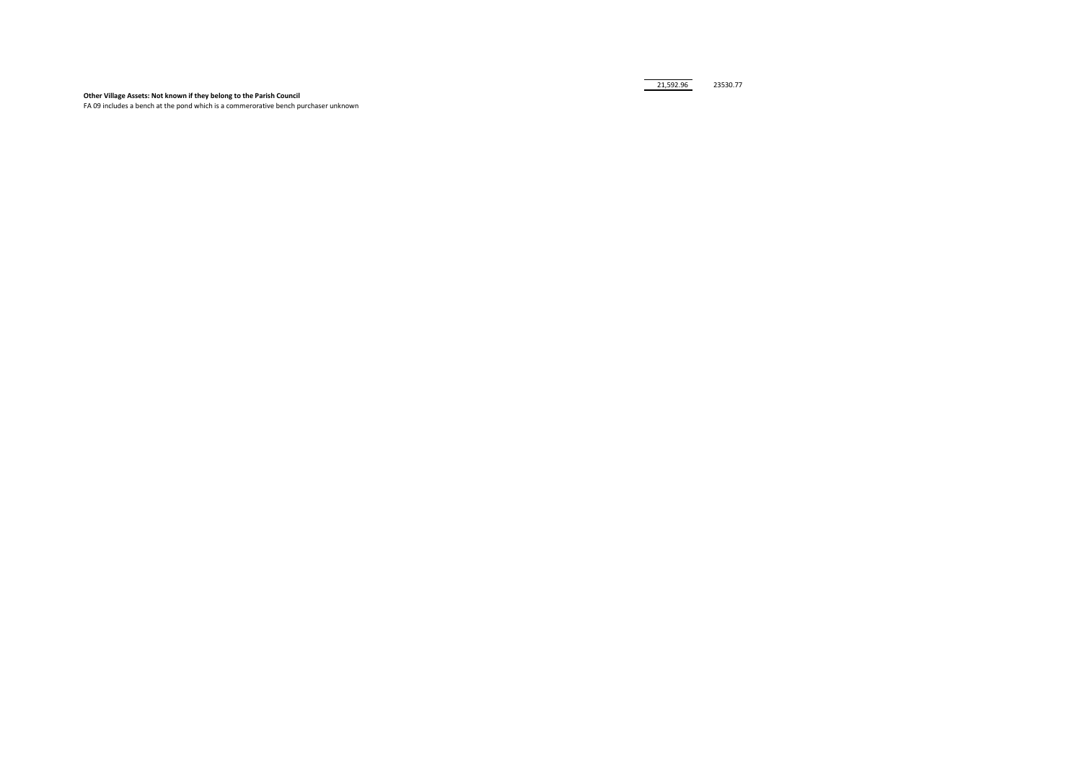## **Other Village Assets: Not known if they belong to the Parish Council**

FA 09 includes a bench at the pond which is a commerorative bench purchaser unknown